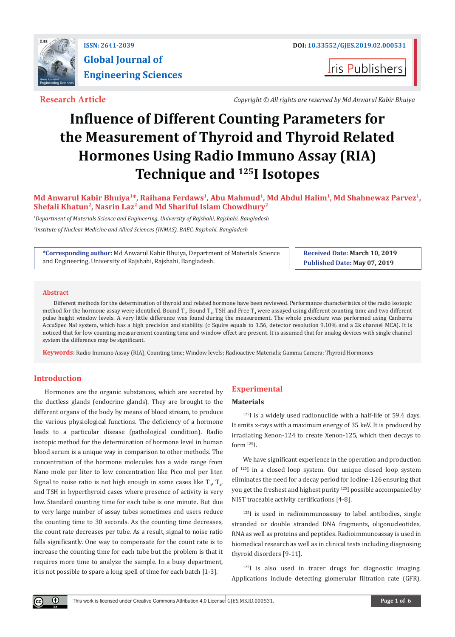

**Iris Publishers** 

**Research Article** *Copyright © All rights are reserved by Md Anwarul Kabir Bhuiya*

# **Influence of Different Counting Parameters for the Measurement of Thyroid and Thyroid Related Hormones Using Radio Immuno Assay (RIA) Technique and <sup>125</sup>I Isotopes**

# **Md Anwarul Kabir Bhuiya<sup>1</sup>\*, Raihana Ferdaws<sup>1</sup>, Abu Mahmud<sup>1</sup>, Md Abdul Halim<sup>1</sup>, Md Shahnewaz Parvez1, Shefali Khatun<sup>2</sup>, Nasrin Laz<sup>2</sup> and Md Shariful Islam Chowdhury<sup>2</sup>**

*1 Department of Materials Science and Engineering, University of Rajshahi, Rajshahi, Bangladesh*

*2 Institute of Nuclear Medicine and Allied Sciences (INMAS), BAEC, Rajshahi, Bangladesh*

**\*Corresponding author:** Md Anwarul Kabir Bhuiya, Department of Materials Science and Engineering, University of Rajshahi, Rajshahi, Bangladesh.

**Received Date: March 10, 2019 Published Date: May 07, 2019**

#### **Abstract**

Different methods for the determination of thyroid and related hormone have been reviewed. Performance characteristics of the radio isotopic method for the hormone assay were identified. Bound T<sub>3</sub>, Bound T<sub>4</sub>, TSH and Free T<sub>4</sub> were assayed using different counting time and two different pulse height window levels. A very little difference was found during the measurement. The whole procedure was performed using Canberra AccuSpec NaI system, which has a high precision and stability. (c Squire equals to 3.56, detector resolution 9.10% and a 2k channel MCA). It is noticed that for low counting measurement counting time and window effect are present. It is assumed that for analog devices with single channel system the difference may be significant.

**Keywords:** Radio Immuno Assay (RIA), Counting time; Window levels; Radioactive Materials; Gamma Camera; Thyroid Hormones

# **Introduction**

 $\bf \Theta$ 

Hormones are the organic substances, which are secreted by the ductless glands (endocrine glands). They are brought to the different organs of the body by means of blood stream, to produce the various physiological functions. The deficiency of a hormone leads to a particular disease (pathological condition). Radio isotopic method for the determination of hormone level in human blood serum is a unique way in comparison to other methods. The concentration of the hormone molecules has a wide range from Nano mole per liter to low concentration like Pico mol per liter. Signal to noise ratio is not high enough in some cases like  $T_{3'}$ ,  $T_{4'}$ and TSH in hyperthyroid cases where presence of activity is very low. Standard counting time for each tube is one minute. But due to very large number of assay tubes sometimes end users reduce the counting time to 30 seconds. As the counting time decreases, the count rate decreases per tube. As a result, signal to noise ratio falls significantly. One way to compensate for the count rate is to increase the counting time for each tube but the problem is that it requires more time to analyze the sample. In a busy department, it is not possible to spare a long spell of time for each batch [1-3].

# **Experimental**

#### **Materials**

<sup>125</sup>I is a widely used radionuclide with a half-life of 59.4 days. It emits x-rays with a maximum energy of 35 keV. It is produced by irradiating Xenon-124 to create Xenon-125, which then decays to form 125I.

We have significant experience in the operation and production of <sup>125</sup>I in a closed loop system. Our unique closed loop system eliminates the need for a decay period for Iodine-126 ensuring that you get the freshest and highest purity 125I possible accompanied by NIST traceable activity certifications [4-8].

 $125$ I is used in radioimmunoassay to label antibodies, single stranded or double stranded DNA fragments, oligonucleotides, RNA as well as proteins and peptides. Radioimmunoassay is used in biomedical research as well as in clinical tests including diagnosing thyroid disorders [9-11].

<sup>125</sup>I is also used in tracer drugs for diagnostic imaging. Applications include detecting glomerular filtration rate (GFR),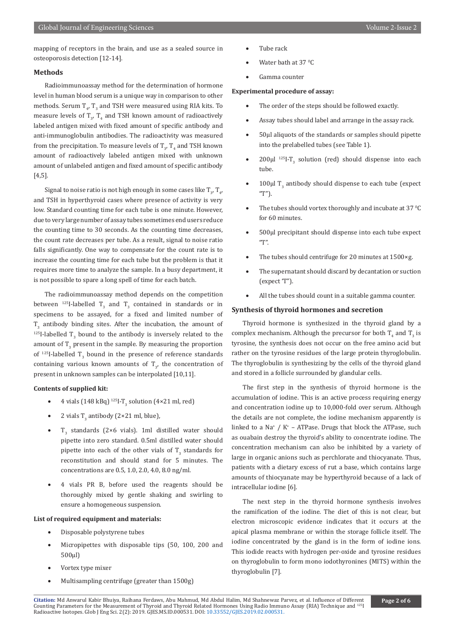mapping of receptors in the brain, and use as a sealed source in osteoporosis detection [12-14].

#### **Methods**

Radioimmunoassay method for the determination of hormone level in human blood serum is a unique way in comparison to other methods. Serum  $I_{4'}$ ,  $I_3$  and TSH were measured using RIA kits. To measure levels of  $I_{3'}$   $I_4$  and TSH known amount of radioactively labeled antigen mixed with fixed amount of specific antibody and anti-immunoglobulin antibodies. The radioactivity was measured from the precipitation. To measure levels of  $\Gamma_{3'}$   $\Gamma_4$  and TSH known amount of radioactively labeled antigen mixed with unknown amount of unlabeled antigen and fixed amount of specific antibody [4,5].

Signal to noise ratio is not high enough in some cases like  $\Gamma_{3'}$   $\Gamma_{4'}$ and TSH in hyperthyroid cases where presence of activity is very low. Standard counting time for each tube is one minute. However, due to very large number of assay tubes sometimes end users reduce the counting time to 30 seconds. As the counting time decreases, the count rate decreases per tube. As a result, signal to noise ratio falls significantly. One way to compensate for the count rate is to increase the counting time for each tube but the problem is that it requires more time to analyze the sample. In a busy department, it is not possible to spare a long spell of time for each batch.

The radioimmunoassay method depends on the competition between  $^{125}$ I-labelled T<sub>3</sub> and T<sub>3</sub> contained in standards or in specimens to be assayed, for a fixed and limited number of  $T_3$  antibody binding sites. After the incubation, the amount of  $^{125}$ I-labelled T<sub>3</sub> bound to the antibody is inversely related to the amount of  $\mathbf{r}_3$  present in the sample. By measuring the proportion of  $^{125}$ I-labelled T<sub>3</sub> bound in the presence of reference standards containing various known amounts of  $T_{3'}$  the concentration of present in unknown samples can be interpolated [10,11].

### **Contents of supplied kit:**

- 4 vials (148 kBq)  $^{125}I-T_3$  solution (4×21 ml, red)
- 2 vials  $T_3$  antibody (2×21 ml, blue),
- $T_3$  standards (2×6 vials). 1ml distilled water should pipette into zero standard. 0.5ml distilled water should pipette into each of the other vials of  $\Gamma_{3}$  standards for reconstitution and should stand for 5 minutes. The concentrations are 0.5, 1.0, 2.0, 4.0, 8.0 ng/ml.
- 4 vials PR B, before used the reagents should be thoroughly mixed by gentle shaking and swirling to ensure a homogeneous suspension.

#### **List of required equipment and materials:**

- Disposable polystyrene tubes
- Micropipettes with disposable tips (50, 100, 200 and 500μl)
- Vortex type mixer
- Multisampling centrifuge (greater than 1500g)
- Tube rack
- Water bath at  $37^{\circ}$ C
- Gamma counter

#### **Experimental procedure of assay:**

- The order of the steps should be followed exactly.
- Assay tubes should label and arrange in the assay rack.
- 50μl aliquots of the standards or samples should pipette into the prelabelled tubes (see Table 1).
- $200\mu l$ <sup>125</sup>I-T<sub>3</sub> solution (red) should dispense into each tube.
- 100 $\mu$ l T<sub>3</sub> antibody should dispense to each tube (expect "T").
- The tubes should vortex thoroughly and incubate at 37 $\mathrm{^0C}$ for 60 minutes.
- 500μl precipitant should dispense into each tube expect "T".
- The tubes should centrifuge for 20 minutes at  $1500 \times g$ .
- The supernatant should discard by decantation or suction (expect 'T").
- All the tubes should count in a suitable gamma counter.

### **Synthesis of thyroid hormones and secretion**

Thyroid hormone is synthesized in the thyroid gland by a complex mechanism. Although the precursor for both  $\mathbf{I}_4$  and  $\mathbf{I}_3$  is tyrosine, the synthesis does not occur on the free amino acid but rather on the tyrosine residues of the large protein thyroglobulin. The thyroglobulin is synthesizing by the cells of the thyroid gland and stored in a follicle surrounded by glandular cells.

The first step in the synthesis of thyroid hormone is the accumulation of iodine. This is an active process requiring energy and concentration iodine up to 10,000-fold over serum. Although the details are not complete, the iodine mechanism apparently is linked to a Na<sup>+</sup> / K<sup>+</sup> – ATPase. Drugs that block the ATPase, such as ouabain destroy the thyroid's ability to concentrate iodine. The concentration mechanism can also be inhibited by a variety of large in organic anions such as perchlorate and thiocyanate. Thus, patients with a dietary excess of rut a base, which contains large amounts of thiocyanate may be hyperthyroid because of a lack of intracellular iodine [6].

The next step in the thyroid hormone synthesis involves the ramification of the iodine. The diet of this is not clear, but electron microscopic evidence indicates that it occurs at the apical plasma membrane or within the storage follicle itself. The iodine concentrated by the gland is in the form of iodine ions. This iodide reacts with hydrogen per-oxide and tyrosine residues on thyroglobulin to form mono iodothyronines (MITS) within the thyroglobulin [7].

**Citation:** Md Anwarul Kabir Bhuiya, Raihana Ferdaws, Abu Mahmud, Md Abdul Halim, Md Shahnewaz Parvez, et al. Influence of Different Counting Parameters for the Measurement of Thyroid and Thyroid Relat[ed Hormones Using Radio Immu](http://dx.doi.org/10.33552/GJES.2019.02.000531)no Assay (RIA) Technique and <sup>125</sup>I<br>Radioactive Isotopes. Glob J Eng Sci. 2(2): 2019. GJES.MS.ID.000531. DOI: 10.33552/GJES.20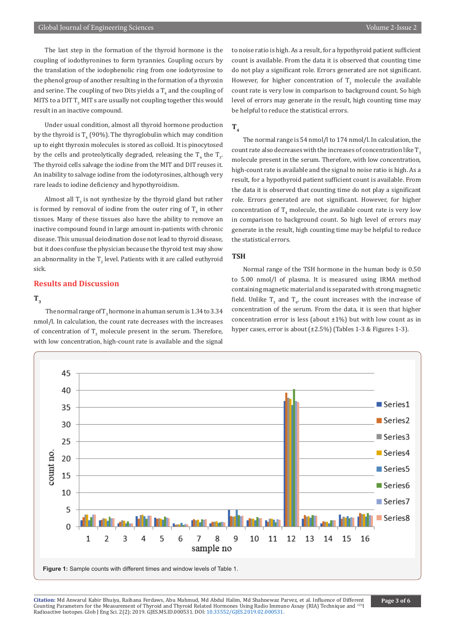The last step in the formation of the thyroid hormone is the coupling of iodothyronines to form tyrannies. Coupling occurs by the translation of the iodophenolic ring from one iodotyrosine to the phenol group of another resulting in the formation of a thyroxin and serine. The coupling of two Dits yields a  $\mathbf{I}_4$  and the coupling of MITS to a DIT  $\mathbf{I}_3$  MIT s are usually not coupling together this would result in an inactive compound.

Under usual condition, almost all thyroid hormone production by the thyroid is  $T_4$  (90%). The thyroglobulin which may condition up to eight thyroxin molecules is stored as colloid. It is pinocytosed by the cells and proteolytically degraded, releasing the  $\mathbf{I}_4$  the  $\mathbf{I}_3$ . The thyroid cells salvage the iodine from the MIT and DIT reuses it. An inability to salvage iodine from the iodotyrosines, although very rare leads to iodine deficiency and hypothyroidism.

Almost all  $\mathbf{I}_3$  is not synthesize by the thyroid gland but rather is formed by removal of iodine from the outer ring of  $\mathbf{1}_{4}$  in other tissues. Many of these tissues also have the ability to remove an inactive compound found in large amount in-patients with chronic disease. This unusual deiodination dose not lead to thyroid disease, but it does confuse the physician because the thyroid test may show an abnormality in the  $\mathbf{I}_3$  level. Patients with it are called euthyroid sick.

# **Results and Discussion**

# $T_3$

The normal range of  $\Gamma_3$  hormone in a human serum is 1.34 to 3.34 nmol/l. In calculation, the count rate decreases with the increases of concentration of  $\mathbf{I}_3$  molecule present in the serum. Therefore, with low concentration, high-count rate is available and the signal

to noise ratio is high. As a result, for a hypothyroid patient sufficient count is available. From the data it is observed that counting time do not play a significant role. Errors generated are not significant. However, for higher concentration of  $I_3$  molecule the available count rate is very low in comparison to background count. So high level of errors may generate in the result, high counting time may be helpful to reduce the statistical errors.

# **T4**

The normal range is 54 nmol/l to 174 nmol/l. In calculation, the count rate also decreases with the increases of concentration like  $T<sub>3</sub>$ molecule present in the serum. Therefore, with low concentration, high-count rate is available and the signal to noise ratio is high. As a result, for a hypothyroid patient sufficient count is available. From the data it is observed that counting time do not play a significant role. Errors generated are not significant. However, for higher concentration of  $T_{\rm 4}$  molecule, the available count rate is very low in comparison to background count. So high level of errors may generate in the result, high counting time may be helpful to reduce the statistical errors.

#### **TSH**

Normal range of the TSH hormone in the human body is 0.50 to 5.00 nmol/l of plasma. It is measured using IRMA method containing magnetic material and is separated with strong magnetic field. Unlike  $I_3$  and  $I_{4'}$  the count increases with the increase of concentration of the serum. From the data, it is seen that higher concentration error is less (about  $\pm 1\%$ ) but with low count as in hyper cases, error is about (±2.5%) (Tables 1-3 & Figures 1-3).

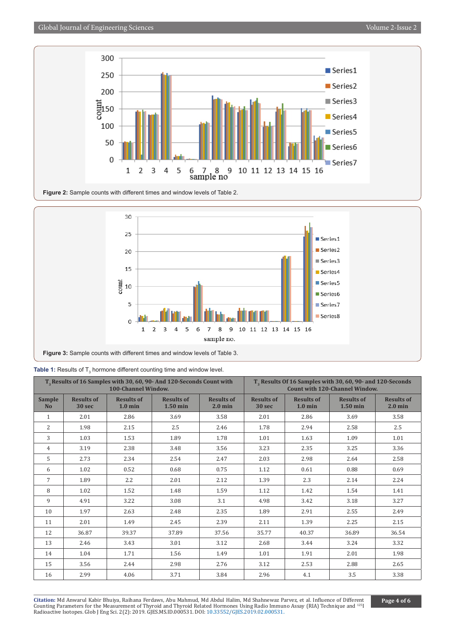



| T <sub>3</sub> Results of 16 Samples with 30, 60, 90- And 120-Seconds Count with<br><b>100-Channel Window.</b> |                             |                                        |                                 | T <sub>3</sub> Results Of 16 Samples with 30, 60, 90- and 120-Seconds<br><b>Count with 120-Channel Window.</b> |                             |                                        |                                 |                                |
|----------------------------------------------------------------------------------------------------------------|-----------------------------|----------------------------------------|---------------------------------|----------------------------------------------------------------------------------------------------------------|-----------------------------|----------------------------------------|---------------------------------|--------------------------------|
| <b>Sample</b><br><b>No</b>                                                                                     | <b>Results of</b><br>30 sec | <b>Results of</b><br>$1.0 \text{ min}$ | <b>Results of</b><br>$1.50$ min | <b>Results of</b><br>$2.0$ min                                                                                 | <b>Results of</b><br>30 sec | <b>Results of</b><br>$1.0 \text{ min}$ | <b>Results of</b><br>$1.50$ min | <b>Results of</b><br>$2.0$ min |
| $\mathbf{1}$                                                                                                   | 2.01                        | 2.86                                   | 3.69                            | 3.58                                                                                                           | 2.01                        | 2.86                                   | 3.69                            | 3.58                           |
| $\overline{2}$                                                                                                 | 1.98                        | 2.15                                   | 2.5                             | 2.46                                                                                                           | 1.78                        | 2.94                                   | 2.58                            | 2.5                            |
| 3                                                                                                              | 1.03                        | 1.53                                   | 1.89                            | 1.78                                                                                                           | 1.01                        | 1.63                                   | 1.09                            | 1.01                           |
| 4                                                                                                              | 3.19                        | 2.38                                   | 3.48                            | 3.56                                                                                                           | 3.23                        | 2.35                                   | 3.25                            | 3.36                           |
| 5                                                                                                              | 2.73                        | 2.34                                   | 2.54                            | 2.47                                                                                                           | 2.03                        | 2.98                                   | 2.64                            | 2.58                           |
| 6                                                                                                              | 1.02                        | 0.52                                   | 0.68                            | 0.75                                                                                                           | 1.12                        | 0.61                                   | 0.88                            | 0.69                           |
| $\overline{7}$                                                                                                 | 1.89                        | 2.2                                    | 2.01                            | 2.12                                                                                                           | 1.39                        | 2.3                                    | 2.14                            | 2.24                           |
| 8                                                                                                              | 1.02                        | 1.52                                   | 1.48                            | 1.59                                                                                                           | 1.12                        | 1.42                                   | 1.54                            | 1.41                           |
| 9                                                                                                              | 4.91                        | 3.22                                   | 3.08                            | 3.1                                                                                                            | 4.98                        | 3.42                                   | 3.18                            | 3.27                           |
| 10                                                                                                             | 1.97                        | 2.63                                   | 2.48                            | 2.35                                                                                                           | 1.89                        | 2.91                                   | 2.55                            | 2.49                           |
| 11                                                                                                             | 2.01                        | 1.49                                   | 2.45                            | 2.39                                                                                                           | 2.11                        | 1.39                                   | 2.25                            | 2.15                           |
| 12                                                                                                             | 36.87                       | 39.37                                  | 37.89                           | 37.56                                                                                                          | 35.77                       | 40.37                                  | 36.89                           | 36.54                          |
| 13                                                                                                             | 2.46                        | 3.43                                   | 3.01                            | 3.12                                                                                                           | 2.68                        | 3.44                                   | 3.24                            | 3.32                           |
| 14                                                                                                             | 1.04                        | 1.71                                   | 1.56                            | 1.49                                                                                                           | 1.01                        | 1.91                                   | 2.01                            | 1.98                           |
| 15                                                                                                             | 3.56                        | 2.44                                   | 2.98                            | 2.76                                                                                                           | 3.12                        | 2.53                                   | 2.88                            | 2.65                           |
| 16                                                                                                             | 2.99                        | 4.06                                   | 3.71                            | 3.84                                                                                                           | 2.96                        | 4.1                                    | 3.5                             | 3.38                           |

**Citation:** Md Anwarul Kabir Bhuiya, Raihana Ferdaws, Abu Mahmud, Md Abdul Halim, Md Shahnewaz Parvez, et al. Influence of Different Counting Parameters for the Measurement of Thyroid and Thyroid Relat[ed Hormones Using Radio Immu](http://dx.doi.org/10.33552/GJES.2019.02.000531)no Assay (RIA) Technique and <sup>125</sup>I<br>Radioactive Isotopes. Glob J Eng Sci. 2(2): 2019. GJES.MS.ID.000531. DOI: 10.33552/GJES.20 **Page 4 of 6**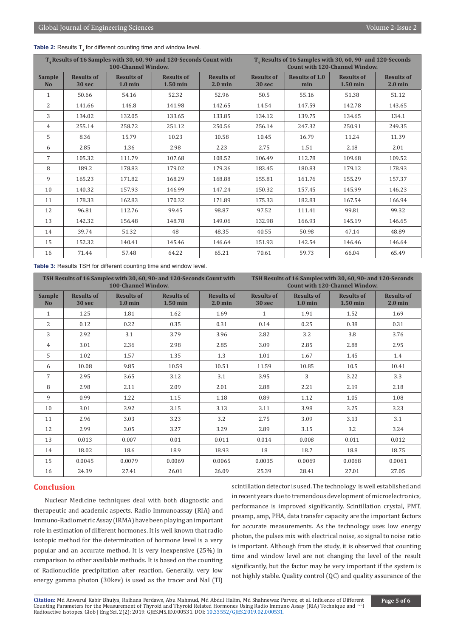|  |  | <b>Table 2:</b> Results $T_{\text{A}}$ for different counting time and window level. |
|--|--|--------------------------------------------------------------------------------------|
|--|--|--------------------------------------------------------------------------------------|

| T <sub>4</sub> Results of 16 Samples with 30, 60, 90- and 120-Seconds Count with<br><b>100-Channel Window.</b> |                             |                                        |                                 | T <sub>4</sub> Results of 16 Samples with 30, 60, 90- and 120-Seconds<br><b>Count with 120-Channel Window.</b> |                             |                              |                                 |                                |
|----------------------------------------------------------------------------------------------------------------|-----------------------------|----------------------------------------|---------------------------------|----------------------------------------------------------------------------------------------------------------|-----------------------------|------------------------------|---------------------------------|--------------------------------|
| <b>Sample</b><br><b>No</b>                                                                                     | <b>Results of</b><br>30 sec | <b>Results of</b><br>$1.0 \text{ min}$ | <b>Results of</b><br>$1.50$ min | <b>Results of</b><br>$2.0 \text{ min}$                                                                         | <b>Results of</b><br>30 sec | <b>Results of 1.0</b><br>min | <b>Results of</b><br>$1.50$ min | <b>Results of</b><br>$2.0$ min |
| $\mathbf{1}$                                                                                                   | 50.66                       | 54.16                                  | 52.32                           | 52.96                                                                                                          | 50.5                        | 55.16                        | 51.38                           | 51.12                          |
| 2                                                                                                              | 141.66                      | 146.8                                  | 141.98                          | 142.65                                                                                                         | 14.54                       | 147.59                       | 142.78                          | 143.65                         |
| 3                                                                                                              | 134.02                      | 132.05                                 | 133.65                          | 133.85                                                                                                         | 134.12                      | 139.75                       | 134.65                          | 134.1                          |
| 4                                                                                                              | 255.14                      | 258.72                                 | 251.12                          | 250.56                                                                                                         | 256.14                      | 247.32                       | 250.91                          | 249.35                         |
| 5                                                                                                              | 8.36                        | 15.79                                  | 10.23                           | 10.58                                                                                                          | 10.45                       | 16.79                        | 11.24                           | 11.39                          |
| 6                                                                                                              | 2.85                        | 1.36                                   | 2.98                            | 2.23                                                                                                           | 2.75                        | 1.51                         | 2.18                            | 2.01                           |
| $7\phantom{.0}$                                                                                                | 105.32                      | 111.79                                 | 107.68                          | 108.52                                                                                                         | 106.49                      | 112.78                       | 109.68                          | 109.52                         |
| 8                                                                                                              | 189.2                       | 178.83                                 | 179.02                          | 179.36                                                                                                         | 183.45                      | 180.83                       | 179.12                          | 178.93                         |
| 9                                                                                                              | 165.23                      | 171.82                                 | 168.29                          | 168.88                                                                                                         | 155.81                      | 161.76                       | 155.29                          | 157.37                         |
| 10                                                                                                             | 140.32                      | 157.93                                 | 146.99                          | 147.24                                                                                                         | 150.32                      | 157.45                       | 145.99                          | 146.23                         |
| 11                                                                                                             | 178.33                      | 162.83                                 | 170.32                          | 171.89                                                                                                         | 175.33                      | 182.83                       | 167.54                          | 166.94                         |
| 12                                                                                                             | 96.81                       | 112.76                                 | 99.45                           | 98.87                                                                                                          | 97.52                       | 111.41                       | 99.81                           | 99.32                          |
| 13                                                                                                             | 142.32                      | 156.48                                 | 148.78                          | 149.06                                                                                                         | 132.98                      | 166.93                       | 145.19                          | 146.65                         |
| 14                                                                                                             | 39.74                       | 51.32                                  | 48                              | 48.35                                                                                                          | 40.55                       | 50.98                        | 47.14                           | 48.89                          |
| 15                                                                                                             | 152.32                      | 140.41                                 | 145.46                          | 146.64                                                                                                         | 151.93                      | 142.54                       | 146.46                          | 146.64                         |
| 16                                                                                                             | 71.44                       | 57.48                                  | 64.22                           | 65.21                                                                                                          | 70.61                       | 59.73                        | 66.04                           | 65.49                          |

**Table 3:** Results TSH for different counting time and window level.

| TSH Results of 16 Samples with 30, 60, 90- and 120-Seconds Count with<br><b>100-Channel Window.</b> |                                        |                                        |                                 | TSH Results of 16 Samples with 30, 60, 90- and 120-Seconds<br><b>Count with 120-Channel Window.</b> |                             |                                        |                                 |                                |
|-----------------------------------------------------------------------------------------------------|----------------------------------------|----------------------------------------|---------------------------------|-----------------------------------------------------------------------------------------------------|-----------------------------|----------------------------------------|---------------------------------|--------------------------------|
| <b>Sample</b><br><b>No</b>                                                                          | <b>Results of</b><br>30 <sub>sec</sub> | <b>Results of</b><br>$1.0 \text{ min}$ | <b>Results of</b><br>$1.50$ min | <b>Results of</b><br>$2.0 \text{ min}$                                                              | <b>Results of</b><br>30 sec | <b>Results of</b><br>$1.0 \text{ min}$ | <b>Results of</b><br>$1.50$ min | <b>Results of</b><br>$2.0$ min |
| $\mathbf{1}$                                                                                        | 1.25                                   | 1.81                                   | 1.62                            | 1.69                                                                                                | $\mathbf{1}$                | 1.91                                   | 1.52                            | 1.69                           |
| $\overline{2}$                                                                                      | 0.12                                   | 0.22                                   | 0.35                            | 0.31                                                                                                | 0.14                        | 0.25                                   | 0.38                            | 0.31                           |
| 3                                                                                                   | 2.92                                   | 3.1                                    | 3.79                            | 3.96                                                                                                | 2.82                        | 3.2                                    | 3.8                             | 3.76                           |
| $\overline{4}$                                                                                      | 3.01                                   | 2.36                                   | 2.98                            | 2.85                                                                                                | 3.09                        | 2.85                                   | 2.88                            | 2.95                           |
| 5                                                                                                   | 1.02                                   | 1.57                                   | 1.35                            | 1.3                                                                                                 | 1.01                        | 1.67                                   | 1.45                            | 1.4                            |
| 6                                                                                                   | 10.08                                  | 9.85                                   | 10.59                           | 10.51                                                                                               | 11.59                       | 10.85                                  | 10.5                            | 10.41                          |
| $\overline{7}$                                                                                      | 2.95                                   | 3.65                                   | 3.12                            | 3.1                                                                                                 | 3.95                        | 3                                      | 3.22                            | 3.3                            |
| 8                                                                                                   | 2.98                                   | 2.11                                   | 2.09                            | 2.01                                                                                                | 2.88                        | 2.21                                   | 2.19                            | 2.18                           |
| 9                                                                                                   | 0.99                                   | 1.22                                   | 1.15                            | 1.18                                                                                                | 0.89                        | 1.12                                   | 1.05                            | 1.08                           |
| 10                                                                                                  | 3.01                                   | 3.92                                   | 3.15                            | 3.13                                                                                                | 3.11                        | 3.98                                   | 3.25                            | 3.23                           |
| 11                                                                                                  | 2.96                                   | 3.03                                   | 3.23                            | 3.2                                                                                                 | 2.75                        | 3.09                                   | 3.13                            | 3.1                            |
| 12                                                                                                  | 2.99                                   | 3.05                                   | 3.27                            | 3.29                                                                                                | 2.89                        | 3.15                                   | 3.2                             | 3.24                           |
| 13                                                                                                  | 0.013                                  | 0.007                                  | 0.01                            | 0.011                                                                                               | 0.014                       | 0.008                                  | 0.011                           | 0.012                          |
| 14                                                                                                  | 18.02                                  | 18.6                                   | 18.9                            | 18.93                                                                                               | 18                          | 18.7                                   | 18.8                            | 18.75                          |
| 15                                                                                                  | 0.0045                                 | 0.0079                                 | 0.0069                          | 0.0065                                                                                              | 0.0035                      | 0.0069                                 | 0.0068                          | 0.0061                         |
| 16                                                                                                  | 24.39                                  | 27.41                                  | 26.01                           | 26.09                                                                                               | 25.39                       | 28.41                                  | 27.01                           | 27.05                          |

# **Conclusion**

Nuclear Medicine techniques deal with both diagnostic and therapeutic and academic aspects. Radio Immunoassay (RIA) and Immuno-Radiometric Assay (IRMA) have been playing an important role in estimation of different hormones. It is well known that radio isotopic method for the determination of hormone level is a very popular and an accurate method. It is very inexpensive (25%) in comparison to other available methods. It is based on the counting of Radionuclide precipitation after reaction. Generally, very low energy gamma photon (30kev) is used as the tracer and NaI (Tl)

scintillation detector is used. The technology is well established and in recent years due to tremendous development of microelectronics, performance is improved significantly. Scintillation crystal, PMT, preamp, amp, PHA, data transfer capacity are the important factors for accurate measurements. As the technology uses low energy photon, the pulses mix with electrical noise, so signal to noise ratio is important. Although from the study, it is observed that counting time and window level are not changing the level of the result significantly, but the factor may be very important if the system is not highly stable. Quality control (QC) and quality assurance of the

**Citation:** Md Anwarul Kabir Bhuiya, Raihana Ferdaws, Abu Mahmud, Md Abdul Halim, Md Shahnewaz Parvez, et al. Influence of Different Counting Parameters for the Measurement of Thyroid and Thyroid Relat[ed Hormones Using Radio Immu](http://dx.doi.org/10.33552/GJES.2019.02.000531)no Assay (RIA) Technique and <sup>125</sup>I<br>Radioactive Isotopes. Glob J Eng Sci. 2(2): 2019. GJES.MS.ID.000531. DOI: 10.33552/GJES.20